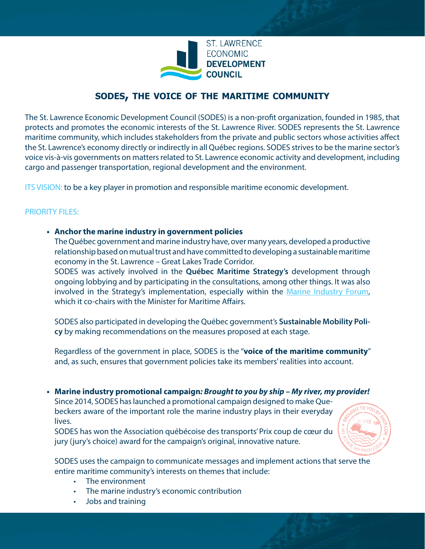

# **sodes, the voice of the maritime community**

The St. Lawrence Economic Development Council (SODES) is a non-profit organization, founded in 1985, that protects and promotes the economic interests of the St. Lawrence River. SODES represents the St. Lawrence maritime community, which includes stakeholders from the private and public sectors whose activities affect the St. Lawrence's economy directly or indirectly in all Québec regions. SODES strives to be the marine sector's voice vis-à-vis governments on matters related to St. Lawrence economic activity and development, including cargo and passenger transportation, regional development and the environment.

ITS VISION: to be a key player in promotion and responsible maritime economic development.

# PRIORITY FILES:

# **• Anchor the marine industry in government policies**

The Québec government and marine industry have, over many years, developed a productive relationship based on mutual trust and have committed to developing a sustainable maritime economy in the St. Lawrence – Great Lakes Trade Corridor.

SODES was actively involved in the **Québec Maritime Strategy's** development through ongoing lobbying and by participating in the consultations, among other things. It was also involved in the Strategy's implementation, especially within the [Marine Industry Forum](http://www.st-laurent.org/en/files-and-accomplishments/marine-industry-consensus-seeking-and-positioning/marine-industry-forum/), which it co-chairs with the Minister for Maritime Affairs.

SODES also participated in developing the Québec government's **Sustainable Mobility Policy** by making recommendations on the measures proposed at each stage.

Regardless of the government in place, SODES is the "**voice of the maritime community**" and, as such, ensures that government policies take its members' realities into account.

# **• Marine industry promotional campaign***: Brought to you by ship – My river, my provider!*

Since 2014, SODES has launched a promotional campaign designed to make Quebeckers aware of the important role the marine industry plays in their everyday lives.

SODES has won the Association québécoise des transports' Prix coup de cœur du jury (jury's choice) award for the campaign's original, innovative nature.



SODES uses the campaign to communicate messages and implement actions that serve the entire maritime community's interests on themes that include:

- The environment
- The marine industry's economic contribution
- Jobs and training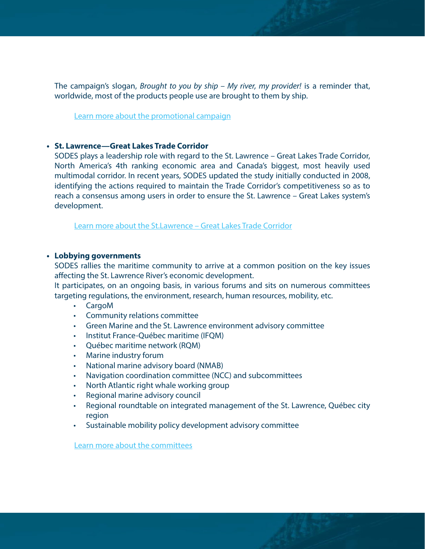The campaign's slogan, *Brought to you by ship – My river, my provider!* is a reminder that, worldwide, most of the products people use are brought to them by ship.

[Learn more about the promotional campaign](http://www.st-laurent.org/en/files-and-accomplishments/communications-and-promotion/marine-industry-promotional-campaign/)

# **• St. Lawrence—Great Lakes Trade Corridor**

SODES plays a leadership role with regard to the St. Lawrence – Great Lakes Trade Corridor, North America's 4th ranking economic area and Canada's biggest, most heavily used multimodal corridor. In recent years, SODES updated the study initially conducted in 2008, identifying the actions required to maintain the Trade Corridor's competitiveness so as to reach a consensus among users in order to ensure the St. Lawrence – Great Lakes system's development.

[Learn more about the St.Lawrence – Great Lakes Trade Corridor](http://www.st-laurent.org/en/files-and-accomplishments/marine-industry-consensus-seeking-and-positioning/trade-corridor/)

### **• Lobbying governments**

SODES rallies the maritime community to arrive at a common position on the key issues affecting the St. Lawrence River's economic development.

It participates, on an ongoing basis, in various forums and sits on numerous committees targeting regulations, the environment, research, human resources, mobility, etc.

- CargoM
- Community relations committee
- Green Marine and the St. Lawrence environment advisory committee
- Institut France-Québec maritime (IFQM)
- Québec maritime network (RQM)
- Marine industry forum
- National marine advisory board (NMAB)
- Navigation coordination committee (NCC) and subcommittees
- North Atlantic right whale working group
- Regional marine advisory council
- Regional roundtable on integrated management of the St. Lawrence, Québec city region
- Sustainable mobility policy development advisory committee

[Learn more about the committees](http://www.st-laurent.org/en/files-and-accomplishments/marine-industry-consensus-seeking-and-positioning/committees-and-working-groups/)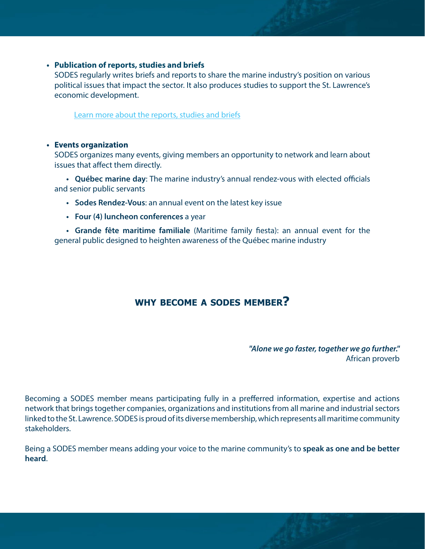# **• Publication of reports, studies and briefs**

SODES regularly writes briefs and reports to share the marine industry's position on various political issues that impact the sector. It also produces studies to support the St. Lawrence's economic development.

[Learn more about the reports, studies and briefs](http://www.st-laurent.org/en/category/studies-and-reports/)

# **• Events organization**

SODES organizes many events, giving members an opportunity to network and learn about issues that affect them directly.

**• Québec marine day**: The marine industry's annual rendez-vous with elected officials and senior public servants

- **• Sodes Rendez-Vous**: an annual event on the latest key issue
- **• Four (4) luncheon conferences** a year

**• Grande fête maritime familiale** (Maritime family fiesta): an annual event for the general public designed to heighten awareness of the Québec marine industry

# **why become a sodes member?**

*"Alone we go faster, together we go further."*  African proverb

Becoming a SODES member means participating fully in a prefferred information, expertise and actions network that brings together companies, organizations and institutions from all marine and industrial sectors linked to the St. Lawrence. SODES is proud of its diverse membership, which represents all maritime community stakeholders.

Being a SODES member means adding your voice to the marine community's to **speak as one and be better heard**.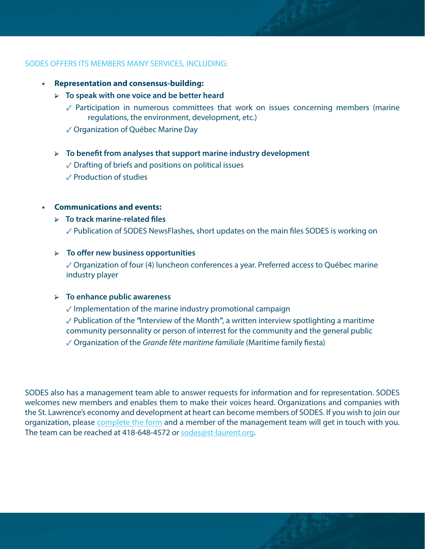# SODES OFFERS ITS MEMBERS MANY SERVICES, INCLUDING:

- **• Representation and consensus-building:**
	- ➢ **To speak with one voice and be better heard**
		- $\sqrt{2}$  Participation in numerous committees that work on issues concerning members (marine regulations, the environment, development, etc.)
		- ✓ Organization of Québec Marine Day

# ➢ **To benefit from analyses that support marine industry development**

- $\sqrt{2}$  Drafting of briefs and positions on political issues
- ✓ Production of studies

# **• Communications and events:**

# ➢ **To track marine-related files**

✓ Publication of SODES NewsFlashes, short updates on the main files SODES is working on

# ➢ **To offer new business opportunities**

 $\sqrt{2}$  Organization of four (4) luncheon conferences a year. Preferred access to Québec marine industry player

### ➢ **To enhance public awareness**

 $\sqrt{2}$  Implementation of the marine industry promotional campaign

✓ Publication of the *"*Interview of the Month*"*, a written interview spotlighting a maritime community personnality or person of interrest for the community and the general public

✓ Organization of the *Grande fête maritime familiale* (Maritime family fiesta)

SODES also has a management team able to answer requests for information and for representation. SODES welcomes new members and enables them to make their voices heard. Organizations and companies with the St. Lawrence's economy and development at heart can become members of SODES. If you wish to join our organization, please [complete the form](http://www.st-laurent.org/en/members/forms/membership-renewal-form/) and a member of the management team will get in touch with you. The team can be reached at 418-648-4572 or [sodes@st-laurent.org.](mailto:sodes@st-laurent.org)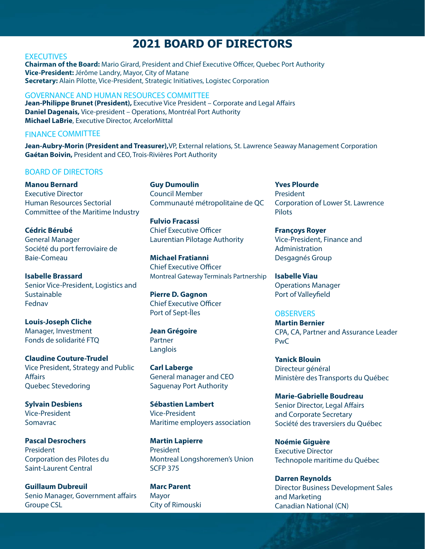# **2021 BOARD OF DIRECTORS**

#### **EXECUTIVES**

**Chairman of the Board:** Mario Girard, President and Chief Executive Officer, Quebec Port Authority **Vice-President:** Jérôme Landry, Mayor, City of Matane **Secretary:** Alain Pilotte, Vice-President, Strategic Initiatives, Logistec Corporation

#### GOVERNANCE AND HUMAN RESOURCES COMMITTEE

Jean-Philippe Brunet (President), Executive Vice President - Corporate and Legal Affairs **Daniel Dagenais,** Vice-president – Operations, Montréal Port Authority **Michael LaBrie**, Executive Director, ArcelorMittal

# FINANCE COMMITTEE

**Jean-Aubry-Morin (President and Treasurer),**VP, External relations, St. Lawrence Seaway Management Corporation **Gaétan Boivin,** President and CEO, Trois-Rivières Port Authority

# BOARD OF DIRECTORS

**Manou Bernard** Executive Director Human Resources Sectorial Committee of the Maritime Industry

**Cédric Bérubé** General Manager Société du port ferroviaire de Baie-Comeau

**Isabelle Brassard** Senior Vice-President, Logistics and **Sustainable** Fednav

**Louis-Joseph Cliche** Manager, Investment Fonds de solidarité FTQ

**Claudine Couture-Trudel** Vice President, Strategy and Public **Affairs** Quebec Stevedoring

**Sylvain Desbiens** Vice-President Somavrac

**Pascal Desrochers** President Corporation des Pilotes du Saint-Laurent Central

**Guillaum Dubreuil** Senio Manager, Government affairs Groupe CSL

**Guy Dumoulin** Council Member Communauté métropolitaine de QC

**Fulvio Fracassi** Chief Executive Officer Laurentian Pilotage Authority

**Michael Fratianni** Chief Executive Officer Montreal Gateway Terminals Partnership

**Pierre D. Gagnon** Chief Executive Officer Port of Sept-Îles

**Jean Grégoire** Partner Langlois

**Carl Laberge** General manager and CEO Saguenay Port Authority

**Sébastien Lambert** Vice-President Maritime employers association

**Martin Lapierre** President Montreal Longshoremen's Union SCFP 375

**Marc Parent** Mayor City of Rimouski **Yves Plourde** President Corporation of Lower St. Lawrence Pilots

# **Françoys Royer**

Vice-President, Finance and Administration Desgagnés Group

**Isabelle Viau** Operations Manager Port of Valleyfield

#### **OBSERVERS**

**Martin Bernier** CPA, CA, Partner and Assurance Leader PwC

**Yanick Blouin** Directeur général Ministère des Transports du Québec

**Marie-Gabrielle Boudreau** Senior Director, Legal Affairs and Corporate Secretary Société des traversiers du Québec

**Noémie Giguère** Executive Director Technopole maritime du Québec

**Darren Reynolds** Director Business Development Sales and Marketing Canadian National (CN)